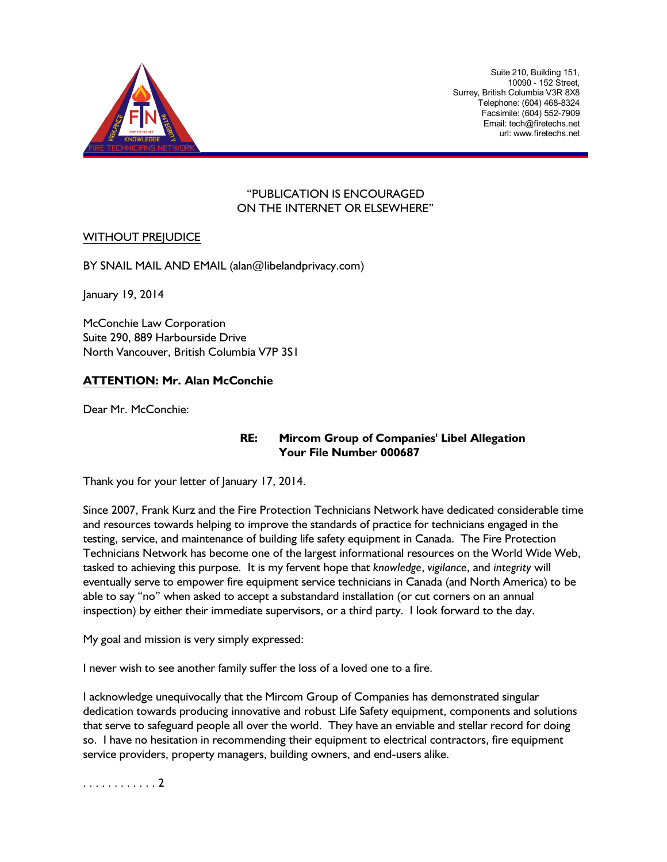

Suite 210, Building 151, 10090 - 152 Street, Surrey, British Columbia V3R 8X8 Telephone: (604) 468-8324 Facsimile: (604) 552-7909 Email: tech@firetechs.net url: www.firetechs.net

### "PUBLICATION IS ENCOURAGED ON THE INTERNET OR ELSEWHERE"

### WITHOUT PREJUDICE

BY SNAIL MAIL AND EMAIL (alan@libelandprivacy.com)

January 19, 2014

McConchie Law Corporation Suite 290, 889 Harbourside Drive North Vancouver, British Columbia V7P 3S1

### **ATTENTION: Mr. Alan McConchie**

Dear Mr. McConchie:

### **RE: Mircom Group of Companies' Libel Allegation Your File Number 000687**

Thank you for your letter of January 17, 2014.

Since 2007, Frank Kurz and the Fire Protection Technicians Network have dedicated considerable time and resources towards helping to improve the standards of practice for technicians engaged in the testing, service, and maintenance of building life safety equipment in Canada. The Fire Protection Technicians Network has become one of the largest informational resources on the World Wide Web, tasked to achieving this purpose. It is my fervent hope that *knowledge*, *vigilance*, and *integrity* will eventually serve to empower fire equipment service technicians in Canada (and North America) to be able to say "no" when asked to accept a substandard installation (or cut corners on an annual inspection) by either their immediate supervisors, or a third party. I look forward to the day.

My goal and mission is very simply expressed:

I never wish to see another family suffer the loss of a loved one to a fire.

I acknowledge unequivocally that the Mircom Group of Companies has demonstrated singular dedication towards producing innovative and robust Life Safety equipment, components and solutions that serve to safeguard people all over the world. They have an enviable and stellar record for doing so. I have no hesitation in recommending their equipment to electrical contractors, fire equipment service providers, property managers, building owners, and end-users alike.

. . . . . . . . . . . . 2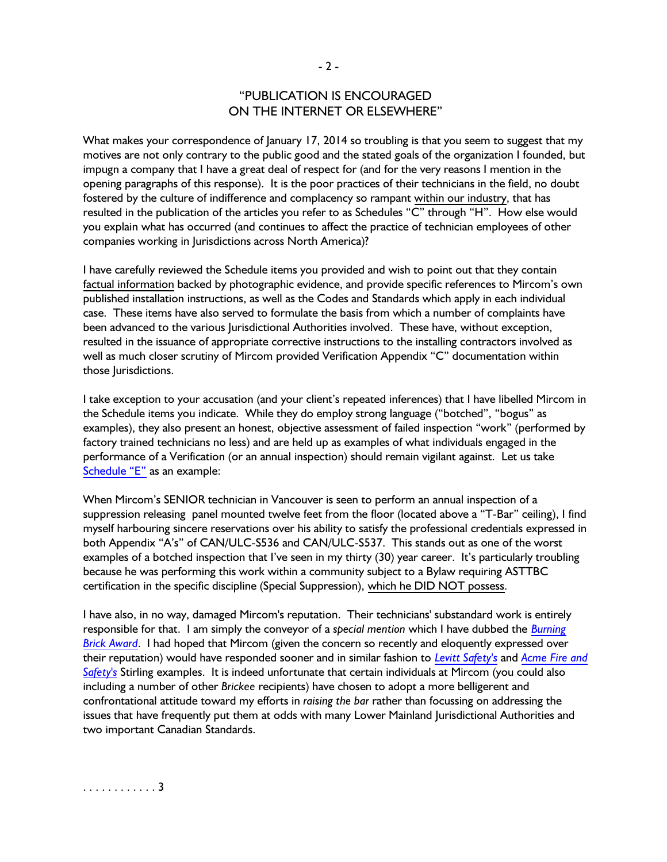# "PUBLICATION IS ENCOURAGED ON THE INTERNET OR ELSEWHERE"

What makes your correspondence of January 17, 2014 so troubling is that you seem to suggest that my motives are not only contrary to the public good and the stated goals of the organization I founded, but impugn a company that I have a great deal of respect for (and for the very reasons I mention in the opening paragraphs of this response). It is the poor practices of their technicians in the field, no doubt fostered by the culture of indifference and complacency so rampant within our industry, that has resulted in the publication of the articles you refer to as Schedules "C" through "H". How else would you explain what has occurred (and continues to affect the practice of technician employees of other companies working in Jurisdictions across North America)?

I have carefully reviewed the Schedule items you provided and wish to point out that they contain factual information backed by photographic evidence, and provide specific references to Mircom's own published installation instructions, as well as the Codes and Standards which apply in each individual case. These items have also served to formulate the basis from which a number of complaints have been advanced to the various Jurisdictional Authorities involved. These have, without exception, resulted in the issuance of appropriate corrective instructions to the installing contractors involved as well as much closer scrutiny of Mircom provided Verification Appendix "C" documentation within those Jurisdictions.

I take exception to your accusation (and your client's repeated inferences) that I have libelled Mircom in the Schedule items you indicate. While they do employ strong language ("botched", "bogus" as examples), they also present an honest, objective assessment of failed inspection "work" (performed by factory trained technicians no less) and are held up as examples of what individuals engaged in the performance of a Verification (or an annual inspection) should remain vigilant against. Let us take [Schedule](http://www.firetechs.net/Burning_Brick_Awards/Mircom/Mircom_Technologies_Botched_Richmond_Suppression_Inspection.asp) "E" as an example:

When Mircom's SENIOR technician in Vancouver is seen to perform an annual inspection of a suppression releasing panel mounted twelve feet from the floor (located above a "T-Bar" ceiling), I find myself harbouring sincere reservations over his ability to satisfy the professional credentials expressed in both Appendix "A's" of CAN/ULC-S536 and CAN/ULC-S537. This stands out as one of the worst examples of a botched inspection that I've seen in my thirty (30) year career. It's particularly troubling because he was performing this work within a community subject to a Bylaw requiring ASTTBC certification in the specific discipline (Special Suppression), which he DID NOT possess.

I have also, in no way, damaged Mircom's reputation. Their technicians' substandard work is entirely responsible for that. I am simply the conveyor of a *special mention* which I have dubbed the *[Burning](http://www.firetechs.net/Burning_Brick_Awards/burning_brick_award.asp) [Brick Award](http://www.firetechs.net/Burning_Brick_Awards/burning_brick_award.asp)*. I had hoped that Mircom (given the concern so recently and eloquently expressed over their reputation) would have responded sooner and in similar fashion to *[Levitt Safety's](http://www.firetechs.net/Burning_Brick_Awards/LevittSafety/Levitt_Safety_Botched_Service.asp)* and *[Acme](http://www.firetechs.net/Burning_Brick_Awards/AFS/active_fire_and_acme_fire_double_brickee_in_surrey.asp) Fire and [Safety's](http://www.firetechs.net/Burning_Brick_Awards/AFS/active_fire_and_acme_fire_double_brickee_in_surrey.asp)* Stirling examples. It is indeed unfortunate that certain individuals at Mircom (you could also including a number of other *Brickee* recipients) have chosen to adopt a more belligerent and confrontational attitude toward my efforts in *raising the bar* rather than focussing on addressing the issues that have frequently put them at odds with many Lower Mainland Jurisdictional Authorities and two important Canadian Standards.

. . . . . . . . . . . . 3